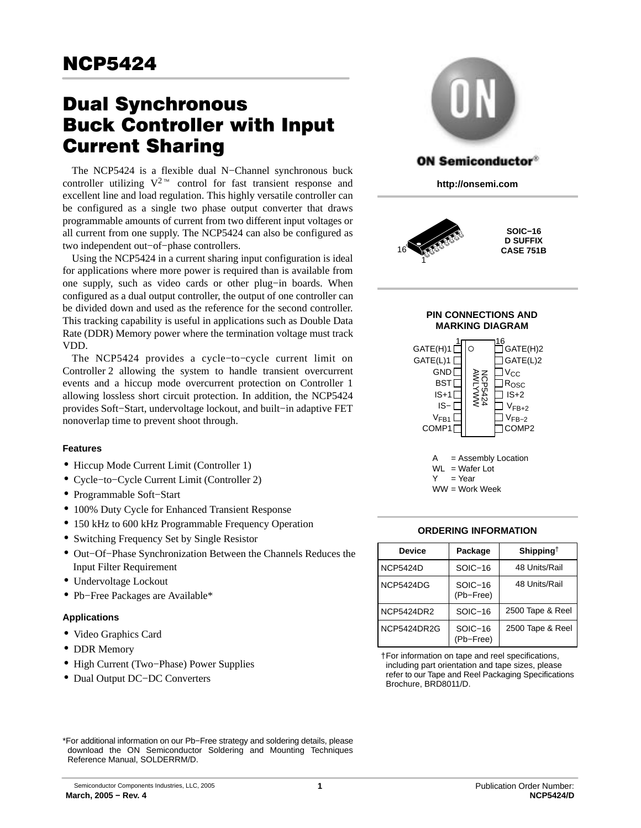# **Dual Synchronous<br>Buck Controller with Input Current Sharing**

The NCP5424 is a flexible dual N−Channel synchronous buck The NCP5424 is a flexible dual N-Channel synchronous buck controller utilizing  $V^{2}$ <sup>M</sup> control for fast transient response and excellent line and load regulation. This highly versatile controller can be configured as a single two phase output converter that draws programmable amounts of current from two different input voltages or all current from one supply. The NCP5424 can also be configured as two independent out−of−phase controllers.

Using the NCP5424 in a current sharing input configuration is ideal for applications where more power is required than is available from one supply, such as video cards or other plug−in boards. When configured as a dual output controller, the output of one controller can be divided down and used as the reference for the second controller. This tracking capability is useful in applications such as Double Data Rate (DDR) Memory power where the termination voltage must track VDD.

The NCP5424 provides a cycle−to−cycle current limit on Controller 2 allowing the system to handle transient overcurrent events and a hiccup mode overcurrent protection on Controller 1 allowing lossless short circuit protection. In addition, the NCP5424 provides Soft−Start, undervoltage lockout, and built−in adaptive FET nonoverlap time to prevent shoot through.

#### **Features**

- Hiccup Mode Current Limit (Controller 1)
- Cycle−to−Cycle Current Limit (Controller 2)
- Programmable Soft−Start
- 100% Duty Cycle for Enhanced Transient Response
- 150 kHz to 600 kHz Programmable Frequency Operation
- Switching Frequency Set by Single Resistor
- Out−Of−Phase Synchronization Between the Channels Reduces the Input Filter Requirement
- Undervoltage Lockout
- Pb−Free Packages are Available\*

# **Applications**

- Video Graphics Card
- DDR Memory
- High Current (Two−Phase) Power Supplies
- Dual Output DC−DC Converters







#### WW = Work Week

# **ORDERING INFORMATION**

| <b>Device</b>     | Package              | Shipping <sup>†</sup> |
|-------------------|----------------------|-----------------------|
| <b>NCP5424D</b>   | SOIC-16              | 48 Units/Rail         |
| NCP5424DG         | SOIC-16<br>(Pb-Free) | 48 Units/Rail         |
| <b>NCP5424DR2</b> | SOIC-16              | 2500 Tape & Reel      |
| NCP5424DR2G       | SOIC-16<br>(Pb-Free) | 2500 Tape & Reel      |

†For information on tape and reel specifications, including part orientation and tape sizes, please refer to our Tape and Reel Packaging Specifications Brochure, BRD8011/D.

<sup>\*</sup>For additional information on our Pb−Free strategy and soldering details, please download the ON Semiconductor Soldering and Mounting Techniques Reference Manual, SOLDERRM/D.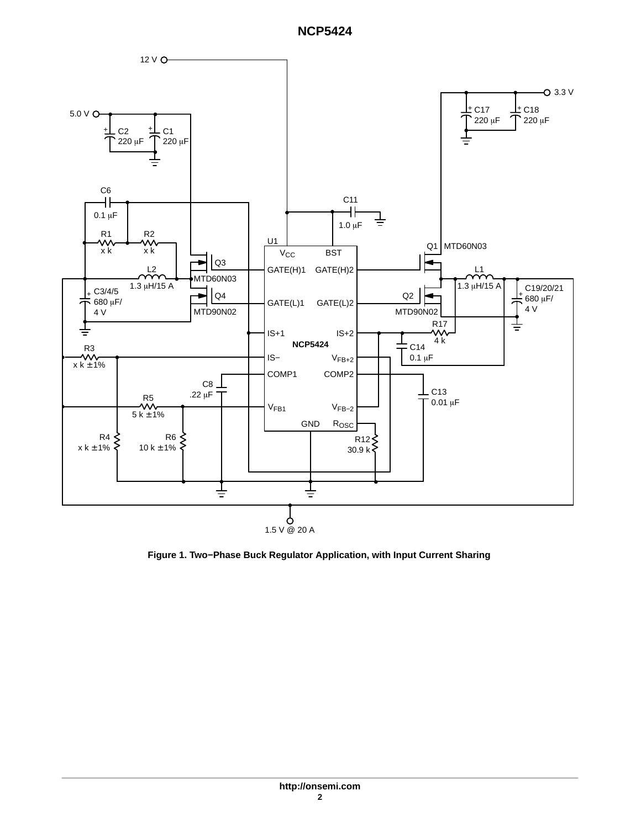<span id="page-1-0"></span>

**Figure 1. Two−Phase Buck Regulator Application, with Input Current Sharing**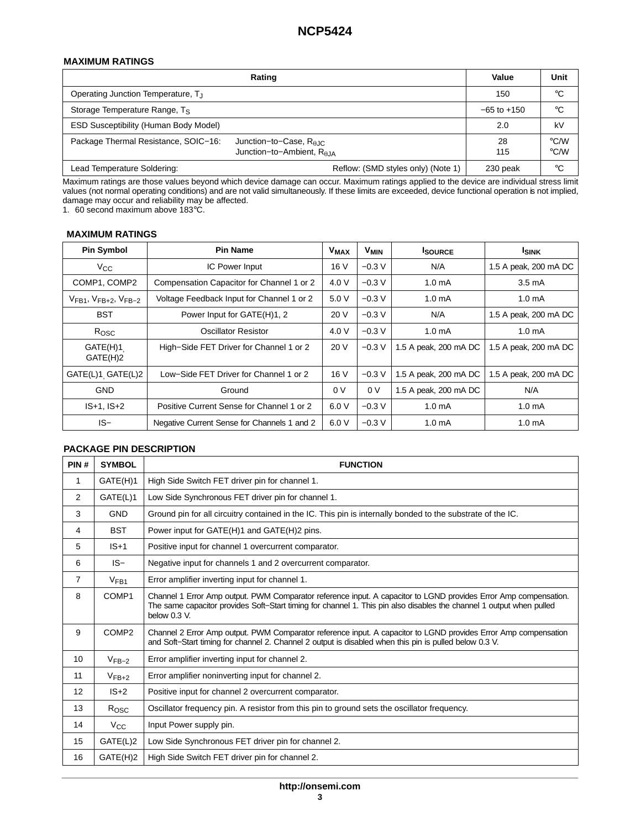#### **MAXIMUM RATINGS**

|                                                | Value                                                                         | Unit                               |                 |                                |
|------------------------------------------------|-------------------------------------------------------------------------------|------------------------------------|-----------------|--------------------------------|
| Operating Junction Temperature, T <sub>1</sub> |                                                                               |                                    | 150             | $^{\circ}C$                    |
| Storage Temperature Range, Ts                  |                                                                               |                                    | $-65$ to $+150$ | $^{\circ}C$                    |
| <b>ESD Susceptibility (Human Body Model)</b>   |                                                                               |                                    | 2.0             | kV                             |
| Package Thermal Resistance, SOIC-16:           | Junction-to-Case, $R_{\text{fluc}}$<br>Junction-to-Ambient, R <sub>6.1A</sub> |                                    | 28<br>115       | $\degree$ C/W<br>$\degree$ C/W |
| Lead Temperature Soldering:                    |                                                                               | Reflow: (SMD styles only) (Note 1) | 230 peak        | °C                             |

Maximum ratings are those values beyond which device damage can occur. Maximum ratings applied to the device are individual stress limit values (not normal operating conditions) and are not valid simultaneously. If these limits are exceeded, device functional operation is not implied, damage may occur and reliability may be affected.

1. 60 second maximum above 183°C.

#### **MAXIMUM RATINGS**

| <b>Pin Symbol</b>    | <b>Pin Name</b>                             |                         | $V_{MIN}$      | <b>ISOURCE</b>        | <b>ISINK</b>          |  |
|----------------------|---------------------------------------------|-------------------------|----------------|-----------------------|-----------------------|--|
| $V_{\rm CC}$         | IC Power Input                              | 16 V                    | $-0.3V$        | N/A                   | 1.5 A peak, 200 mA DC |  |
| COMP1, COMP2         | Compensation Capacitor for Channel 1 or 2   | 4.0 V                   | $-0.3 V$       | 1.0 <sub>m</sub> A    | $3.5 \text{ mA}$      |  |
| $VFB1, VFB+2, VFB-2$ | Voltage Feedback Input for Channel 1 or 2   | 5.0V                    | $-0.3 V$       | 1.0 <sub>m</sub> A    | 1.0 <sub>m</sub> A    |  |
| <b>BST</b>           | Power Input for GATE(H)1, 2                 | N/A<br>20 V<br>$-0.3 V$ |                | 1.5 A peak, 200 mA DC |                       |  |
| R <sub>OSC</sub>     | <b>Oscillator Resistor</b>                  | 4.0 V                   | $-0.3 V$       | 1.0 <sub>m</sub> A    | 1.0 <sub>m</sub> A    |  |
| GATE(H)1<br>GATE(H)2 | High-Side FET Driver for Channel 1 or 2     | 20 V                    |                | 1.5 A peak, 200 mA DC | 1.5 A peak, 200 mA DC |  |
| GATE(L)1 GATE(L)2    | Low-Side FET Driver for Channel 1 or 2      | 16 V                    | $-0.3V$        | 1.5 A peak, 200 mA DC | 1.5 A peak, 200 mA DC |  |
| <b>GND</b>           | Ground                                      | 0 <sup>V</sup>          | 0 <sup>V</sup> | 1.5 A peak, 200 mA DC | N/A                   |  |
| $IS+1$ , $IS+2$      | Positive Current Sense for Channel 1 or 2   | 6.0V                    | $-0.3V$        | 1.0 <sub>m</sub> A    | 1.0 <sub>m</sub> A    |  |
| $IS-$                | Negative Current Sense for Channels 1 and 2 | 6.0V                    | $-0.3 V$       | 1.0 <sub>m</sub> A    | 1.0 <sub>m</sub> A    |  |

# **PACKAGE PIN DESCRIPTION**

| PIN#           | <b>SYMBOL</b>     | <b>FUNCTION</b>                                                                                                                                                                                                                                          |
|----------------|-------------------|----------------------------------------------------------------------------------------------------------------------------------------------------------------------------------------------------------------------------------------------------------|
| 1              | GATE(H)1          | High Side Switch FET driver pin for channel 1.                                                                                                                                                                                                           |
| $\overline{2}$ | GATE(L)1          | Low Side Synchronous FET driver pin for channel 1.                                                                                                                                                                                                       |
| 3              | <b>GND</b>        | Ground pin for all circuitry contained in the IC. This pin is internally bonded to the substrate of the IC.                                                                                                                                              |
| 4              | <b>BST</b>        | Power input for GATE(H)1 and GATE(H)2 pins.                                                                                                                                                                                                              |
| 5              | $IS+1$            | Positive input for channel 1 overcurrent comparator.                                                                                                                                                                                                     |
| 6              | $IS -$            | Negative input for channels 1 and 2 overcurrent comparator.                                                                                                                                                                                              |
| 7              | $V_{FB1}$         | Error amplifier inverting input for channel 1.                                                                                                                                                                                                           |
| 8              | COMP1             | Channel 1 Error Amp output. PWM Comparator reference input. A capacitor to LGND provides Error Amp compensation.<br>The same capacitor provides Soft-Start timing for channel 1. This pin also disables the channel 1 output when pulled<br>below 0.3 V. |
| 9              | COMP <sub>2</sub> | Channel 2 Error Amp output. PWM Comparator reference input. A capacitor to LGND provides Error Amp compensation<br>and Soft-Start timing for channel 2. Channel 2 output is disabled when this pin is pulled below 0.3 V.                                |
| 10             | $VFB-2$           | Error amplifier inverting input for channel 2.                                                                                                                                                                                                           |
| 11             | $VFB+2$           | Error amplifier noninverting input for channel 2.                                                                                                                                                                                                        |
| 12             | $IS+2$            | Positive input for channel 2 overcurrent comparator.                                                                                                                                                                                                     |
| 13             | R <sub>OSC</sub>  | Oscillator frequency pin. A resistor from this pin to ground sets the oscillator frequency.                                                                                                                                                              |
| 14             | $V_{\rm CC}$      | Input Power supply pin.                                                                                                                                                                                                                                  |
| 15             | GATE(L)2          | Low Side Synchronous FET driver pin for channel 2.                                                                                                                                                                                                       |
| 16             | GATE(H)2          | High Side Switch FET driver pin for channel 2.                                                                                                                                                                                                           |

#### **http://onsemi.com**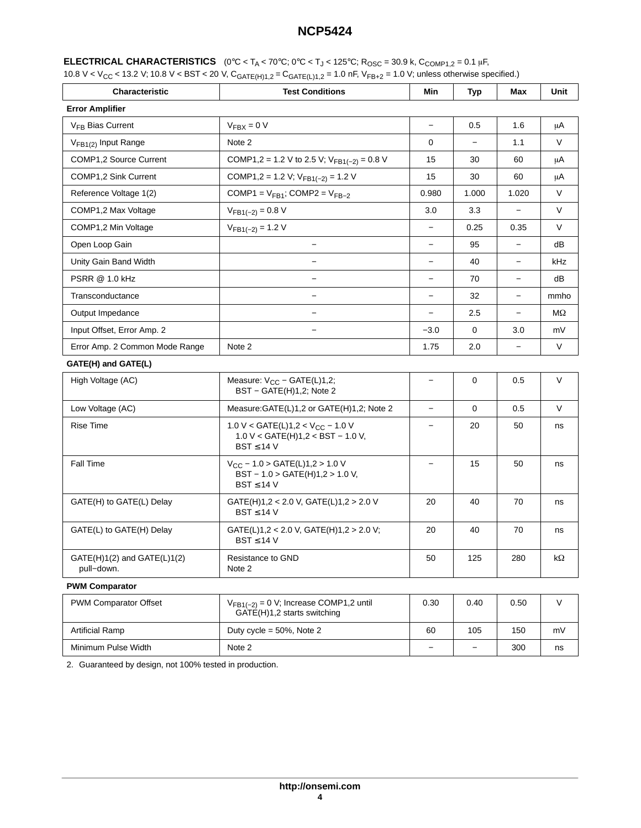|  | <b>ELECTRICAL CHARACTERISTICS</b> $(0^{\circ}\text{C} < T_A < 70^{\circ}\text{C})$ ; $0^{\circ}\text{C} < T_J < 125^{\circ}\text{C}$ ; $R_{\text{OSC}} = 30.9$ k, $C_{\text{COMP1},2} = 0.1$ µF, |
|--|--------------------------------------------------------------------------------------------------------------------------------------------------------------------------------------------------|
|--|--------------------------------------------------------------------------------------------------------------------------------------------------------------------------------------------------|

10.8 V < V<sub>CC</sub> < 13.2 V; 10.8 V < BST < 20 V, C<sub>GATE(H)1,2</sub> = C<sub>GATE(L)1,2</sub> = 1.0 nF, V<sub>FB+2</sub> = 1.0 V; unless otherwise specified.)

| Characteristic                                | <b>Test Conditions</b>                                                                                    |                          | Typ   | Max                      | Unit   |
|-----------------------------------------------|-----------------------------------------------------------------------------------------------------------|--------------------------|-------|--------------------------|--------|
| <b>Error Amplifier</b>                        |                                                                                                           |                          |       |                          |        |
| V <sub>FB</sub> Bias Current                  | $V_{\text{FBX}} = 0 V$                                                                                    | $\qquad \qquad -$        | 0.5   | 1.6                      | μA     |
| V <sub>FB1(2)</sub> Input Range               | Note 2                                                                                                    | 0                        |       | 1.1                      | V      |
| COMP1,2 Source Current                        | COMP1,2 = 1.2 V to 2.5 V; $V_{FB1(-2)} = 0.8$ V                                                           | 15                       | 30    | 60                       | μA     |
| COMP1,2 Sink Current                          | COMP1,2 = 1.2 V; $V_{FB1(-2)} = 1.2$ V                                                                    | 15                       | 30    | 60                       | μA     |
| Reference Voltage 1(2)                        | COMP1 = $V_{FB1}$ ; COMP2 = $V_{FB-2}$                                                                    | 0.980                    | 1.000 | 1.020                    | V      |
| COMP1,2 Max Voltage                           | $V_{FB1(-2)} = 0.8 V$                                                                                     | 3.0                      | 3.3   |                          | V      |
| COMP1,2 Min Voltage                           | $V_{FB1(-2)} = 1.2 V$                                                                                     | $\overline{\phantom{0}}$ | 0.25  | 0.35                     | V      |
| Open Loop Gain                                | $\overline{\phantom{m}}$                                                                                  | $\qquad \qquad -$        | 95    | $\qquad \qquad -$        | dB     |
| Unity Gain Band Width                         | $\overline{\phantom{0}}$                                                                                  | $\overline{\phantom{0}}$ | 40    | $\overline{\phantom{0}}$ | kHz    |
| <b>PSRR @ 1.0 kHz</b>                         | $\overline{\phantom{0}}$                                                                                  | $\overline{\phantom{0}}$ | 70    | $\overline{\phantom{0}}$ | dB     |
| Transconductance                              | $\overline{\phantom{0}}$                                                                                  | $\overline{\phantom{0}}$ | 32    | $\overline{\phantom{0}}$ | mmho   |
| Output Impedance                              | $\overline{\phantom{0}}$                                                                                  | $\qquad \qquad -$        | 2.5   | $\overline{\phantom{a}}$ | ΜΩ     |
| Input Offset, Error Amp. 2                    | $\overline{\phantom{0}}$                                                                                  | $-3.0$                   | 0     | 3.0                      | mV     |
| Error Amp. 2 Common Mode Range                | Note 2                                                                                                    | 1.75                     | 2.0   |                          | V      |
| GATE(H) and GATE(L)                           |                                                                                                           |                          |       |                          |        |
| High Voltage (AC)                             | Measure: $V_{CC}$ – GATE(L)1,2;<br>BST - GATE(H)1,2; Note 2                                               | —                        | 0     | 0.5                      | V      |
| Low Voltage (AC)                              | Measure: GATE(L)1,2 or GATE(H)1,2; Note 2                                                                 | $\qquad \qquad -$        | 0     | 0.5                      | V      |
| <b>Rise Time</b>                              | 1.0 V < GATE(L)1,2 < V <sub>CC</sub> - 1.0 V<br>$1.0 V <$ GATE(H) $1,2 <$ BST - 1.0 V,<br>$BST \leq 14$ V | $\overline{\phantom{0}}$ | 20    | 50                       | ns     |
| Fall Time                                     | $V_{CC}$ – 1.0 > GATE(L)1,2 > 1.0 V<br>BST - 1.0 > GATE(H)1,2 > 1.0 V,<br>BST $\leq$ 14 V                 | -                        | 15    | 50                       | ns     |
| GATE(H) to GATE(L) Delay                      | GATE(H)1,2 < 2.0 V, GATE(L)1,2 > 2.0 V<br>BST $\leq$ 14 V                                                 | 20                       | 40    | 70                       | ns     |
| GATE(L) to GATE(H) Delay                      | GATE(L)1,2 < 2.0 V, GATE(H)1,2 > 2.0 V;<br>BST $\leq$ 14 V                                                | 20                       | 40    | 70                       | ns     |
| $GATE(H)1(2)$ and $GATE(L)1(2)$<br>pull-down. | Resistance to GND<br>Note 2                                                                               | 50                       | 125   | 280                      | kΩ     |
| <b>PWM Comparator</b>                         |                                                                                                           |                          |       |                          |        |
| PWM Comparator Offset                         | $V_{FB1(-2)} = 0$ V; Increase COMP1,2 until<br>GATE(H)1,2 starts switching                                | 0.30                     | 0.40  | 0.50                     | $\vee$ |
| <b>Artificial Ramp</b>                        | Duty cycle = $50\%$ , Note 2                                                                              | 60                       | 105   | 150                      | mV     |
| Minimum Pulse Width                           | Note 2                                                                                                    |                          |       | 300                      | ns     |

2. Guaranteed by design, not 100% tested in production.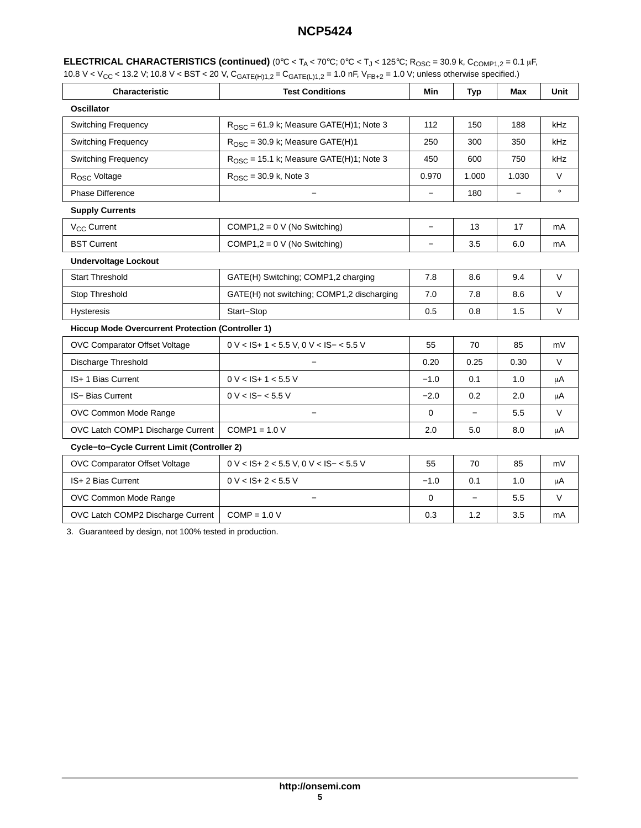| <b>ELECTRICAL CHARACTERISTICS (continued)</b> (0°C < T <sub>A</sub> < 70°C; 0°C < T <sub>J</sub> < 125°C; R <sub>OSC</sub> = 30.9 k, C <sub>COMP1.2</sub> = 0.1 µF,         |  |
|-----------------------------------------------------------------------------------------------------------------------------------------------------------------------------|--|
| 10.8 V < V <sub>CC</sub> < 13.2 V; 10.8 V < BST < 20 V, C <sub>GATE(H)1,2</sub> = C <sub>GATE(L)1,2</sub> = 1.0 nF, V <sub>FB+2</sub> = 1.0 V; unless otherwise specified.) |  |

| <b>Characteristic</b>                                    | <b>Test Conditions</b>                           | Min                      | <b>Typ</b>               | Max   | Unit    |
|----------------------------------------------------------|--------------------------------------------------|--------------------------|--------------------------|-------|---------|
| <b>Oscillator</b>                                        |                                                  |                          |                          |       |         |
| <b>Switching Frequency</b>                               | $ROSC = 61.9$ k; Measure GATE(H)1; Note 3        | 112                      | 150                      | 188   | kHz     |
| <b>Switching Frequency</b>                               | $R_{\text{OSC}}$ = 30.9 k; Measure GATE(H)1      | 250                      | 300                      | 350   | kHz     |
| <b>Switching Frequency</b>                               | $ROSC$ = 15.1 k; Measure GATE(H)1; Note 3        | 450                      | 600                      | 750   | kHz     |
| R <sub>OSC</sub> Voltage                                 | $R_{\rm OSC}$ = 30.9 k, Note 3                   | 0.970                    | 1.000                    | 1.030 | V       |
| <b>Phase Difference</b>                                  |                                                  | $\qquad \qquad -$        | 180                      |       | $\circ$ |
| <b>Supply Currents</b>                                   |                                                  |                          |                          |       |         |
| V <sub>CC</sub> Current                                  | COMP1,2 = $0 \vee$ (No Switching)                | $\overline{\phantom{0}}$ | 13                       | 17    | mA      |
| <b>BST Current</b>                                       | COMP1,2 = $0 \vee$ (No Switching)                |                          | 3.5                      | 6.0   | mA      |
| <b>Undervoltage Lockout</b>                              |                                                  |                          |                          |       |         |
| <b>Start Threshold</b>                                   | GATE(H) Switching; COMP1,2 charging              | 7.8                      | 8.6                      | 9.4   | V       |
| Stop Threshold                                           | GATE(H) not switching; COMP1,2 discharging       | 7.0                      | 7.8                      | 8.6   | V       |
| <b>Hysteresis</b>                                        | Start-Stop                                       | 0.5                      | 0.8                      | 1.5   | V       |
| <b>Hiccup Mode Overcurrent Protection (Controller 1)</b> |                                                  |                          |                          |       |         |
| <b>OVC Comparator Offset Voltage</b>                     | $0 \text{ V}$ < IS+ 1 < 5.5 V, 0 V < IS- < 5.5 V | 55                       | 70                       | 85    | mV      |
| Discharge Threshold                                      |                                                  | 0.20                     | 0.25                     | 0.30  | V       |
| IS+ 1 Bias Current                                       | $0 V <$ IS+ 1 < 5.5 V                            | $-1.0$                   | 0.1                      | 1.0   | μA      |
| <b>IS-Bias Current</b>                                   | $0 V <$ IS- $<$ 5.5 V                            | $-2.0$                   | 0.2                      | 2.0   | μA      |
| OVC Common Mode Range                                    |                                                  | $\mathbf 0$              | $\equiv$                 | 5.5   | $\vee$  |
| OVC Latch COMP1 Discharge Current                        | $COMP1 = 1.0 V$                                  | 2.0                      | 5.0                      | 8.0   | μA      |
| Cycle-to-Cycle Current Limit (Controller 2)              |                                                  |                          |                          |       |         |
| <b>OVC Comparator Offset Voltage</b>                     | $0 V <$ IS+ 2 < 5.5 V, 0 V < IS- < 5.5 V         | 55                       | 70                       | 85    | mV      |
| IS+ 2 Bias Current                                       | $0 V < I S + 2 < 5.5 V$                          | $-1.0$                   | 0.1                      | 1.0   | μA      |
| OVC Common Mode Range                                    | $\overline{\phantom{0}}$                         | $\mathbf 0$              | $\overline{\phantom{m}}$ | 5.5   | $\vee$  |
| OVC Latch COMP2 Discharge Current                        | $COMP = 1.0 V$                                   | 0.3                      | 1.2                      | 3.5   | mA      |

3. Guaranteed by design, not 100% tested in production.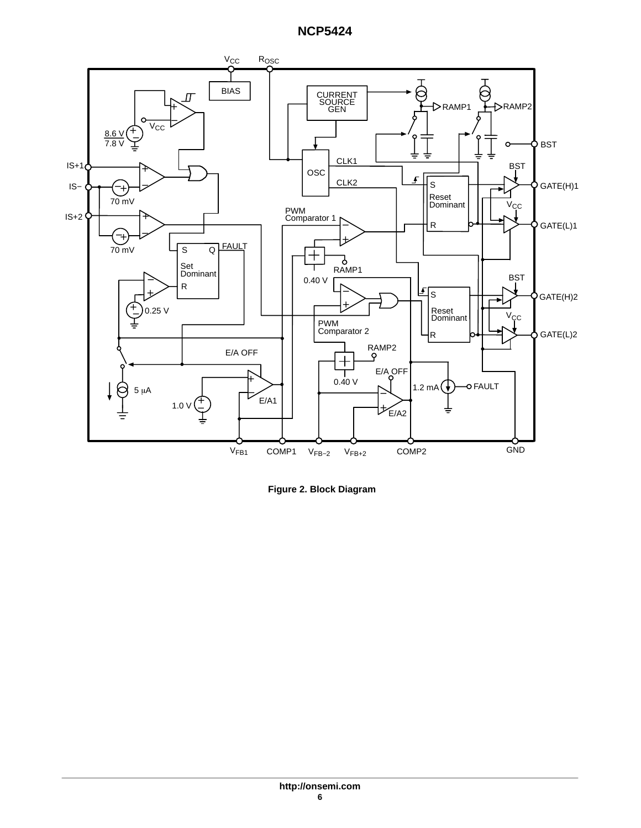

**Figure 2. Block Diagram**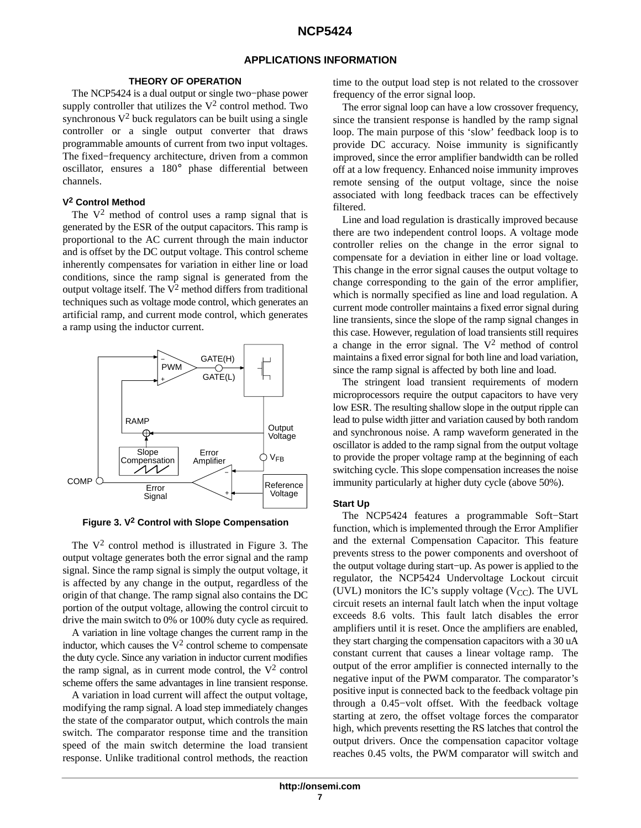# **APPLICATIONS INFORMATION**

#### **THEORY OF OPERATION**

The NCP5424 is a dual output or single two−phase power supply controller that utilizes the  $V^2$  control method. Two synchronous  $V^2$  buck regulators can be built using a single controller or a single output converter that draws programmable amounts of current from two input voltages. The fixed−frequency architecture, driven from a common oscillator, ensures a 180° phase differential between channels.

#### **V2 Control Method**

The  $V^2$  method of control uses a ramp signal that is generated by the ESR of the output capacitors. This ramp is proportional to the AC current through the main inductor and is offset by the DC output voltage. This control scheme inherently compensates for variation in either line or load conditions, since the ramp signal is generated from the output voltage itself. The  $V^2$  method differs from traditional techniques such as voltage mode control, which generates an artificial ramp, and current mode control, which generates a ramp using the inductor current.



**Figure 3. V2 Control with Slope Compensation**

The  $V^2$  control method is illustrated in Figure 3. The output voltage generates both the error signal and the ramp signal. Since the ramp signal is simply the output voltage, it is affected by any change in the output, regardless of the origin of that change. The ramp signal also contains the DC portion of the output voltage, allowing the control circuit to drive the main switch to 0% or 100% duty cycle as required.

A variation in line voltage changes the current ramp in the inductor, which causes the  $V^2$  control scheme to compensate the duty cycle. Since any variation in inductor current modifies the ramp signal, as in current mode control, the  $V^2$  control scheme offers the same advantages in line transient response.

A variation in load current will affect the output voltage, modifying the ramp signal. A load step immediately changes the state of the comparator output, which controls the main switch. The comparator response time and the transition speed of the main switch determine the load transient response. Unlike traditional control methods, the reaction time to the output load step is not related to the crossover frequency of the error signal loop.

The error signal loop can have a low crossover frequency, since the transient response is handled by the ramp signal loop. The main purpose of this 'slow' feedback loop is to provide DC accuracy. Noise immunity is significantly improved, since the error amplifier bandwidth can be rolled off at a low frequency. Enhanced noise immunity improves remote sensing of the output voltage, since the noise associated with long feedback traces can be effectively filtered.

Line and load regulation is drastically improved because there are two independent control loops. A voltage mode controller relies on the change in the error signal to compensate for a deviation in either line or load voltage. This change in the error signal causes the output voltage to change corresponding to the gain of the error amplifier, which is normally specified as line and load regulation. A current mode controller maintains a fixed error signal during line transients, since the slope of the ramp signal changes in this case. However, regulation of load transients still requires a change in the error signal. The  $V^2$  method of control maintains a fixed error signal for both line and load variation, since the ramp signal is affected by both line and load.

The stringent load transient requirements of modern microprocessors require the output capacitors to have very low ESR. The resulting shallow slope in the output ripple can lead to pulse width jitter and variation caused by both random and synchronous noise. A ramp waveform generated in the oscillator is added to the ramp signal from the output voltage to provide the proper voltage ramp at the beginning of each switching cycle. This slope compensation increases the noise immunity particularly at higher duty cycle (above 50%).

#### **Start Up**

The NCP5424 features a programmable Soft−Start function, which is implemented through the Error Amplifier and the external Compensation Capacitor. This feature prevents stress to the power components and overshoot of the output voltage during start−up. As power is applied to the regulator, the NCP5424 Undervoltage Lockout circuit (UVL) monitors the IC's supply voltage ( $V_{CC}$ ). The UVL circuit resets an internal fault latch when the input voltage exceeds 8.6 volts. This fault latch disables the error amplifiers until it is reset. Once the amplifiers are enabled, they start charging the compensation capacitors with a 30 uA constant current that causes a linear voltage ramp. The output of the error amplifier is connected internally to the negative input of the PWM comparator. The comparator's positive input is connected back to the feedback voltage pin through a 0.45−volt offset. With the feedback voltage starting at zero, the offset voltage forces the comparator high, which prevents resetting the RS latches that control the output drivers. Once the compensation capacitor voltage reaches 0.45 volts, the PWM comparator will switch and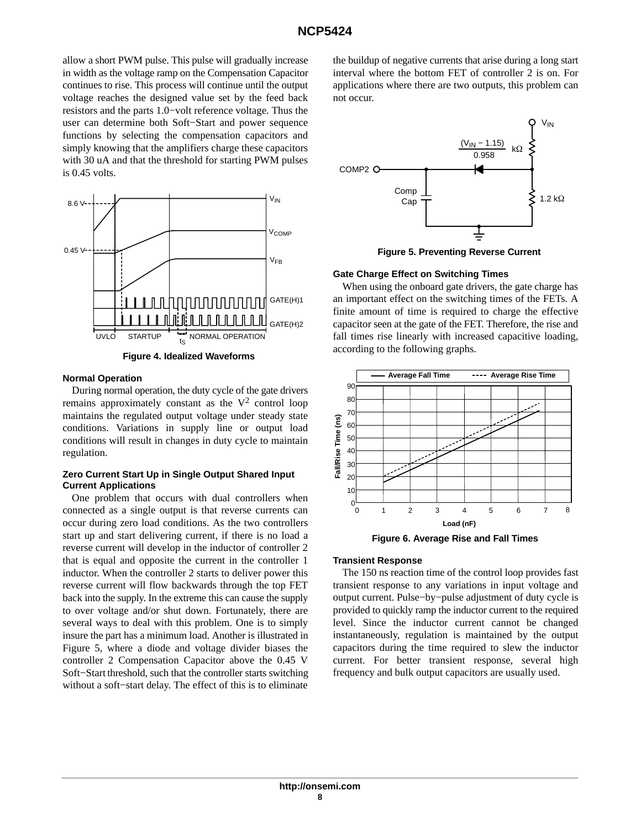allow a short PWM pulse. This pulse will gradually increase in width as the voltage ramp on the Compensation Capacitor continues to rise. This process will continue until the output voltage reaches the designed value set by the feed back resistors and the parts 1.0−volt reference voltage. Thus the user can determine both Soft−Start and power sequence functions by selecting the compensation capacitors and simply knowing that the amplifiers charge these capacitors with 30 uA and that the threshold for starting PWM pulses is 0.45 volts.



**Figure 4. Idealized Waveforms**

#### **Normal Operation**

During normal operation, the duty cycle of the gate drivers remains approximately constant as the  $V^2$  control loop maintains the regulated output voltage under steady state conditions. Variations in supply line or output load conditions will result in changes in duty cycle to maintain regulation.

#### **Zero Current Start Up in Single Output Shared Input Current Applications**

One problem that occurs with dual controllers when connected as a single output is that reverse currents can occur during zero load conditions. As the two controllers start up and start delivering current, if there is no load a reverse current will develop in the inductor of controller 2 that is equal and opposite the current in the controller 1 inductor. When the controller 2 starts to deliver power this reverse current will flow backwards through the top FET back into the supply. In the extreme this can cause the supply to over voltage and/or shut down. Fortunately, there are several ways to deal with this problem. One is to simply insure the part has a minimum load. Another is illustrated in Figure 5, where a diode and voltage divider biases the controller 2 Compensation Capacitor above the 0.45 V Soft−Start threshold, such that the controller starts switching without a soft−start delay. The effect of this is to eliminate

the buildup of negative currents that arise during a long start interval where the bottom FET of controller 2 is on. For applications where there are two outputs, this problem can not occur.



**Figure 5. Preventing Reverse Current**

#### **Gate Charge Effect on Switching Times**

When using the onboard gate drivers, the gate charge has an important effect on the switching times of the FETs. A finite amount of time is required to charge the effective capacitor seen at the gate of the FET. Therefore, the rise and fall times rise linearly with increased capacitive loading, according to the following graphs.



**Figure 6. Average Rise and Fall Times**

#### **Transient Response**

The 150 ns reaction time of the control loop provides fast transient response to any variations in input voltage and output current. Pulse−by−pulse adjustment of duty cycle is provided to quickly ramp the inductor current to the required level. Since the inductor current cannot be changed instantaneously, regulation is maintained by the output capacitors during the time required to slew the inductor current. For better transient response, several high frequency and bulk output capacitors are usually used.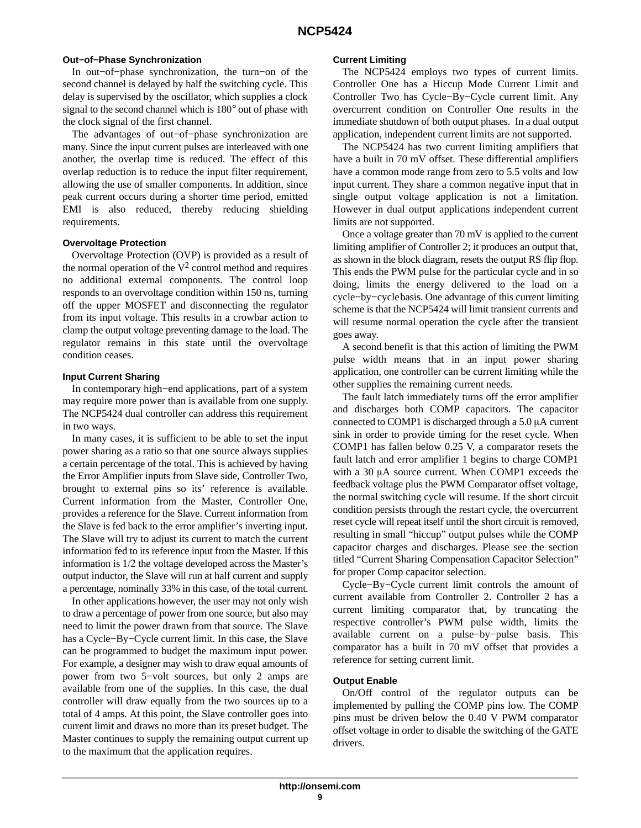#### **Out−of−Phase Synchronization**

In out−of−phase synchronization, the turn−on of the second channel is delayed by half the switching cycle. This delay is supervised by the oscillator, which supplies a clock signal to the second channel which is 180° out of phase with the clock signal of the first channel.

The advantages of out−of−phase synchronization are many. Since the input current pulses are interleaved with one another, the overlap time is reduced. The effect of this overlap reduction is to reduce the input filter requirement, allowing the use of smaller components. In addition, since peak current occurs during a shorter time period, emitted EMI is also reduced, thereby reducing shielding requirements.

#### **Overvoltage Protection**

Overvoltage Protection (OVP) is provided as a result of the normal operation of the  $V^2$  control method and requires no additional external components. The control loop responds to an overvoltage condition within 150 ns, turning off the upper MOSFET and disconnecting the regulator from its input voltage. This results in a crowbar action to clamp the output voltage preventing damage to the load. The regulator remains in this state until the overvoltage condition ceases.

#### **Input Current Sharing**

In contemporary high−end applications, part of a system may require more power than is available from one supply. The NCP5424 dual controller can address this requirement in two ways.

In many cases, it is sufficient to be able to set the input power sharing as a ratio so that one source always supplies a certain percentage of the total. This is achieved by having the Error Amplifier inputs from Slave side, Controller Two, brought to external pins so its' reference is available. Current information from the Master, Controller One, provides a reference for the Slave. Current information from the Slave is fed back to the error amplifier's inverting input. The Slave will try to adjust its current to match the current information fed to its reference input from the Master. If this information is 1/2 the voltage developed across the Master's output inductor, the Slave will run at half current and supply a percentage, nominally 33% in this case, of the total current.

In other applications however, the user may not only wish to draw a percentage of power from one source, but also may need to limit the power drawn from that source. The Slave has a Cycle−By−Cycle current limit. In this case, the Slave can be programmed to budget the maximum input power. For example, a designer may wish to draw equal amounts of power from two 5−volt sources, but only 2 amps are available from one of the supplies. In this case, the dual controller will draw equally from the two sources up to a total of 4 amps. At this point, the Slave controller goes into current limit and draws no more than its preset budget. The Master continues to supply the remaining output current up to the maximum that the application requires.

#### **Current Limiting**

The NCP5424 employs two types of current limits. Controller One has a Hiccup Mode Current Limit and Controller Two has Cycle−By−Cycle current limit. Any overcurrent condition on Controller One results in the immediate shutdown of both output phases. In a dual output application, independent current limits are not supported.

The NCP5424 has two current limiting amplifiers that have a built in 70 mV offset. These differential amplifiers have a common mode range from zero to 5.5 volts and low input current. They share a common negative input that in single output voltage application is not a limitation. However in dual output applications independent current limits are not supported.

Once a voltage greater than 70 mV is applied to the current limiting amplifier of Controller 2; it produces an output that, as shown in the block diagram, resets the output RS flip flop. This ends the PWM pulse for the particular cycle and in so doing, limits the energy delivered to the load on a cycle−by−cycle basis. One advantage of this current limiting scheme is that the NCP5424 will limit transient currents and will resume normal operation the cycle after the transient goes away.

A second benefit is that this action of limiting the PWM pulse width means that in an input power sharing application, one controller can be current limiting while the other supplies the remaining current needs.

The fault latch immediately turns off the error amplifier and discharges both COMP capacitors. The capacitor connected to COMP1 is discharged through a  $5.0 \mu A$  current sink in order to provide timing for the reset cycle. When COMP1 has fallen below 0.25 V, a comparator resets the fault latch and error amplifier 1 begins to charge COMP1 with a 30  $\mu$ A source current. When COMP1 exceeds the feedback voltage plus the PWM Comparator offset voltage, the normal switching cycle will resume. If the short circuit condition persists through the restart cycle, the overcurrent reset cycle will repeat itself until the short circuit is removed, resulting in small "hiccup" output pulses while the COMP capacitor charges and discharges. Please see the section titled "Current Sharing Compensation Capacitor Selection" for proper Comp capacitor selection.

Cycle−By−Cycle current limit controls the amount of current available from Controller 2. Controller 2 has a current limiting comparator that, by truncating the respective controller's PWM pulse width, limits the available current on a pulse−by−pulse basis. This comparator has a built in 70 mV offset that provides a reference for setting current limit.

#### **Output Enable**

On/Off control of the regulator outputs can be implemented by pulling the COMP pins low. The COMP pins must be driven below the 0.40 V PWM comparator offset voltage in order to disable the switching of the GATE drivers.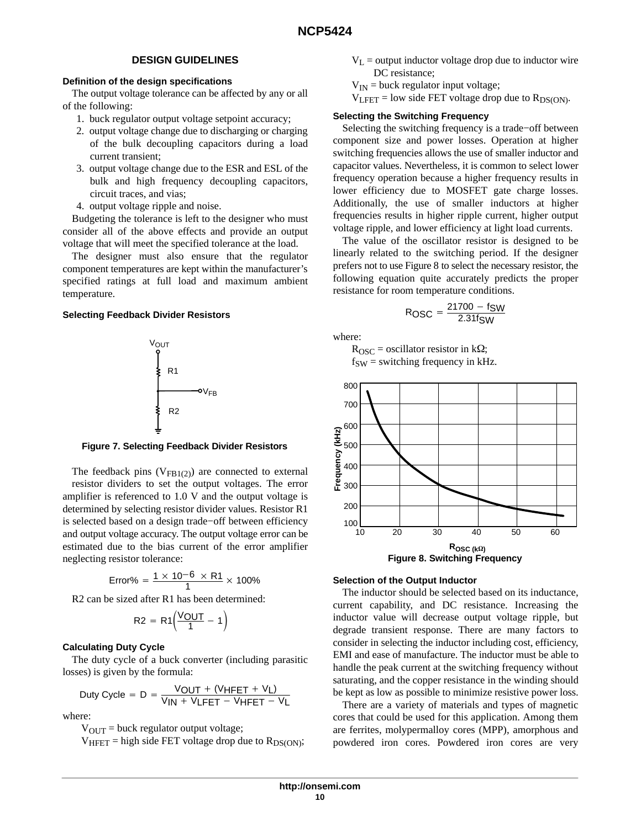# **DESIGN GUIDELINES**

#### <span id="page-9-0"></span>**Definition of the design specifications**

The output voltage tolerance can be affected by any or all of the following:

- 1. buck regulator output voltage setpoint accuracy;
- 2. output voltage change due to discharging or charging of the bulk decoupling capacitors during a load current transient;
- 3. output voltage change due to the ESR and ESL of the bulk and high frequency decoupling capacitors, circuit traces, and vias;
- 4. output voltage ripple and noise.

Budgeting the tolerance is left to the designer who must consider all of the above effects and provide an output voltage that will meet the specified tolerance at the load.

The designer must also ensure that the regulator component temperatures are kept within the manufacturer's specified ratings at full load and maximum ambient temperature.

#### **Selecting Feedback Divider Resistors**



**Figure 7. Selecting Feedback Divider Resistors**

The feedback pins  $(V_{FB1(2)})$  are connected to external resistor dividers to set the output voltages. The error amplifier is referenced to 1.0 V and the output voltage is determined by selecting resistor divider values. Resistor R1 is selected based on a design trade−off between efficiency and output voltage accuracy. The output voltage error can be estimated due to the bias current of the error amplifier neglecting resistor tolerance:

Error% = 
$$
\frac{1 \times 10^{-6} \times R1}{1} \times 100\%
$$

R2 can be sized after R1 has been determined:

$$
R2 = R1 \left( \frac{VOUT}{1} - 1 \right)
$$

#### **Calculating Duty Cycle**

The duty cycle of a buck converter (including parasitic losses) is given by the formula:

$$
\text{Duty Cycle} = D = \frac{V_{\text{OUT}} + (V_{\text{HFET}} + V_{\text{L}})}{V_{\text{IN}} + V_{\text{LFET}} - V_{\text{HFET}} - V_{\text{L}}}
$$

where:

 $V_{OUT}$  = buck regulator output voltage;

 $V_{HFET}$  = high side FET voltage drop due to  $R_{DS(ON)}$ ;

- $V_L$  = output inductor voltage drop due to inductor wire DC resistance;
- $V_{IN}$  = buck regulator input voltage;
- $V<sub>LEFT</sub> = low side FFT voltage drop due to R<sub>DS(ON</sub>).$

#### **Selecting the Switching Frequency**

Selecting the switching frequency is a trade−off between component size and power losses. Operation at higher switching frequencies allows the use of smaller inductor and capacitor values. Nevertheless, it is common to select lower frequency operation because a higher frequency results in lower efficiency due to MOSFET gate charge losses. Additionally, the use of smaller inductors at higher frequencies results in higher ripple current, higher output voltage ripple, and lower efficiency at light load currents.

The value of the oscillator resistor is designed to be linearly related to the switching period. If the designer prefers not to use Figure 8 to select the necessary resistor, the following equation quite accurately predicts the proper resistance for room temperature conditions.

$$
R_{\text{OSC}} = \frac{21700 - f_{\text{SW}}}{2.31 f_{\text{SW}}}
$$

where:

 $R_{\rm OSC}$  = oscillator resistor in k $\Omega$ ;  $f_{SW}$  = switching frequency in kHz.



#### **Selection of the Output Inductor**

The inductor should be selected based on its inductance, current capability, and DC resistance. Increasing the inductor value will decrease output voltage ripple, but degrade transient response. There are many factors to consider in selecting the inductor including cost, efficiency, EMI and ease of manufacture. The inductor must be able to handle the peak current at the switching frequency without saturating, and the copper resistance in the winding should be kept as low as possible to minimize resistive power loss.

There are a variety of materials and types of magnetic cores that could be used for this application. Among them are ferrites, molypermalloy cores (MPP), amorphous and powdered iron cores. Powdered iron cores are very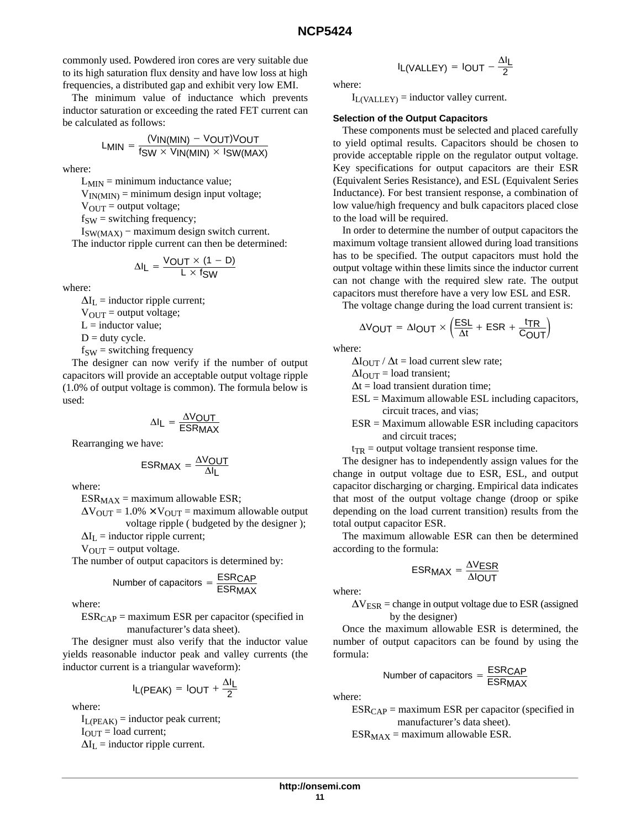commonly used. Powdered iron cores are very suitable due to its high saturation flux density and have low loss at high frequencies, a distributed gap and exhibit very low EMI.

The minimum value of inductance which prevents inductor saturation or exceeding the rated FET current can be calculated as follows:

$$
L_{MIN} = \frac{(V_{IN(MIN)} - V_{OUT})V_{OUT}}{f_{SW} \times V_{IN(MIN)} \times I_{SW(MAX)}}
$$

where:

 $L_{\text{MIN}}$  = minimum inductance value;

 $V_{IN(MIN)} =$  minimum design input voltage;

 $V_{\text{OUT}}$  = output voltage;

 $f_{SW}$  = switching frequency;

 $I_{SW(MAX)}$  – maximum design switch current. The inductor ripple current can then be determined:

$$
\Delta I_L = \frac{VOUT \times (1 - D)}{L \times fSW}
$$

where:

 $\Delta I_L$  = inductor ripple current;

 $V_{\text{OUT}} =$  output voltage;

 $L =$  inductor value;

 $D =$  duty cycle.

 $f_{SW}$  = switching frequency

The designer can now verify if the number of output capacitors will provide an acceptable output voltage ripple (1.0% of output voltage is common). The formula below is used:

$$
\Delta I_L = \frac{\Delta V_{OUT}}{ESRMAX}
$$

Rearranging we have:

$$
ESRMAX = \frac{\Delta VOUT}{\Delta I_L}
$$

where:

 $ESR_{MAX}$  = maximum allowable ESR;

 $\Delta V_{\text{OUT}} = 1.0\% \times V_{\text{OUT}} =$  maximum allowable output voltage ripple ( budgeted by the designer );

 $\Delta I_L$  = inductor ripple current;

 $V_{\text{OUT}} =$  output voltage.

The number of output capacitors is determined by:

Number of capacitors = 
$$
\frac{\text{ESR}_{\text{CAP}}}{\text{ESR}_{\text{MAX}}}
$$

where:

 $ESR_{CAP}$  = maximum ESR per capacitor (specified in manufacturer's data sheet).

The designer must also verify that the inductor value yields reasonable inductor peak and valley currents (the inductor current is a triangular waveform):

$$
I_{L(PEAK)} = I_{OUT} + \frac{\Delta I_{L}}{2}
$$

where:

 $I_{L(PEAK)} =$  inductor peak current;  $I_{\text{OUT}} =$  load current;  $\Delta I_L$  = inductor ripple current.

$$
I_{L(VALLEY)} = I_{OUT} - \frac{\Delta I_L}{2}
$$

where:

 $I_{L(VALLEY)} =$  inductor valley current.

#### **Selection of the Output Capacitors**

These components must be selected and placed carefully to yield optimal results. Capacitors should be chosen to provide acceptable ripple on the regulator output voltage. Key specifications for output capacitors are their ESR (Equivalent Series Resistance), and ESL (Equivalent Series Inductance). For best transient response, a combination of low value/high frequency and bulk capacitors placed close to the load will be required.

In order to determine the number of output capacitors the maximum voltage transient allowed during load transitions has to be specified. The output capacitors must hold the output voltage within these limits since the inductor current can not change with the required slew rate. The output capacitors must therefore have a very low ESL and ESR.

The voltage change during the load current transient is:

$$
\Delta V_{\text{OUT}} = \Delta I_{\text{OUT}} \times \left(\frac{\text{ESL}}{\Delta t} + \text{ESR} + \frac{t_{\text{TR}}}{C_{\text{OUT}}}\right)
$$

where:

 $\Delta I_{\text{OUT}}$  /  $\Delta t$  = load current slew rate;

 $\Delta I_{OUT}$  = load transient;

 $\Delta t$  = load transient duration time;

- $ESL =$  Maximum allowable  $ESL$  including capacitors, circuit traces, and vias;
- $ESR =$  Maximum allowable  $ESR$  including capacitors and circuit traces;

 $t_{TR}$  = output voltage transient response time.

The designer has to independently assign values for the change in output voltage due to ESR, ESL, and output capacitor discharging or charging. Empirical data indicates that most of the output voltage change (droop or spike depending on the load current transition) results from the total output capacitor ESR.

The maximum allowable ESR can then be determined according to the formula:

$$
ESRMAX = \frac{\Delta VESR}{\Delta IOUT}
$$

where:

 $\Delta V_{ESR}$  = change in output voltage due to ESR (assigned by the designer)

Once the maximum allowable ESR is determined, the number of output capacitors can be found by using the formula:

Number of capacitors = 
$$
\frac{\text{ESR}_{CAP}}{\text{ESR}_{MAX}}
$$

where:

 $ESR_{CAP} =$  maximum ESR per capacitor (specified in manufacturer's data sheet).  $ESR_{MAX}$  = maximum allowable ESR.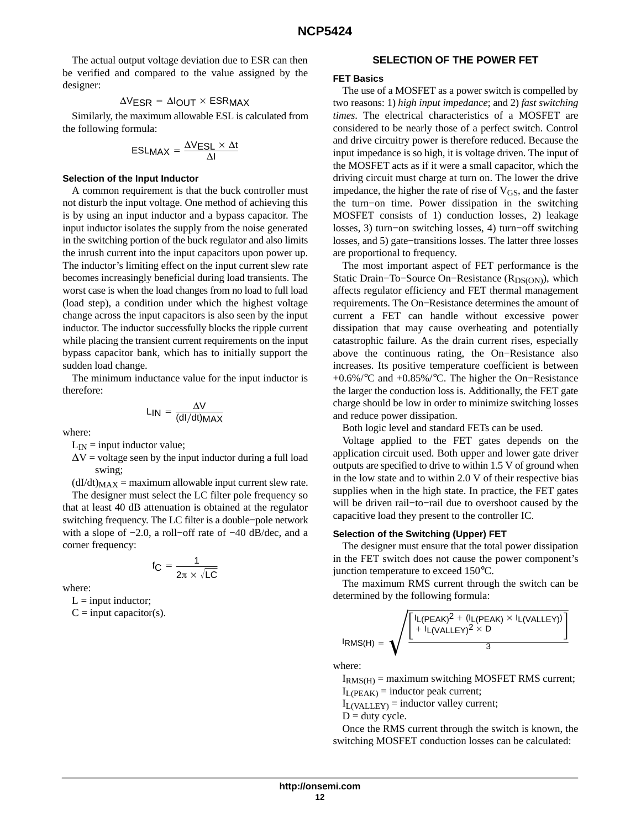The actual output voltage deviation due to ESR can then be verified and compared to the value assigned by the designer:

#### $\Delta V$ ESR =  $\Delta I$ OUT  $\times$  ESRMAX

Similarly, the maximum allowable ESL is calculated from the following formula:

$$
ESL_{MAX} = \frac{\Delta V_{ESL} \times \Delta t}{\Delta I}
$$

#### **Selection of the Input Inductor**

A common requirement is that the buck controller must not disturb the input voltage. One method of achieving this is by using an input inductor and a bypass capacitor. The input inductor isolates the supply from the noise generated in the switching portion of the buck regulator and also limits the inrush current into the input capacitors upon power up. The inductor's limiting effect on the input current slew rate becomes increasingly beneficial during load transients. The worst case is when the load changes from no load to full load (load step), a condition under which the highest voltage change across the input capacitors is also seen by the input inductor. The inductor successfully blocks the ripple current while placing the transient current requirements on the input bypass capacitor bank, which has to initially support the sudden load change.

The minimum inductance value for the input inductor is therefore:

$$
L_{IN} = \frac{\Delta V}{(dl/dt)MAX}
$$

where:

- $L_{IN}$  = input inductor value;
- $\Delta V$  = voltage seen by the input inductor during a full load swing;

 $(dI/dt)_{MAX}$  = maximum allowable input current slew rate. The designer must select the LC filter pole frequency so that at least 40 dB attenuation is obtained at the regulator switching frequency. The LC filter is a double−pole network with a slope of −2.0, a roll−off rate of −40 dB/dec, and a corner frequency:

$$
f_C = \frac{1}{2\pi \times \sqrt{LC}}
$$

where:

 $L = input inductor;$ 

 $C = input capacitor(s)$ .

#### **SELECTION OF THE POWER FET**

#### **FET Basics**

The use of a MOSFET as a power switch is compelled by two reasons: 1) *high input impedance*; and 2) *fast switching times*. The electrical characteristics of a MOSFET are considered to be nearly those of a perfect switch. Control and drive circuitry power is therefore reduced. Because the input impedance is so high, it is voltage driven. The input of the MOSFET acts as if it were a small capacitor, which the driving circuit must charge at turn on. The lower the drive impedance, the higher the rate of rise of  $V_{\text{GS}}$ , and the faster the turn−on time. Power dissipation in the switching MOSFET consists of 1) conduction losses, 2) leakage losses, 3) turn−on switching losses, 4) turn−off switching losses, and 5) gate−transitions losses. The latter three losses are proportional to frequency.

The most important aspect of FET performance is the Static Drain–To–Source On–Resistance ( $R_{DS(ON)}$ ), which affects regulator efficiency and FET thermal management requirements. The On−Resistance determines the amount of current a FET can handle without excessive power dissipation that may cause overheating and potentially catastrophic failure. As the drain current rises, especially above the continuous rating, the On−Resistance also increases. Its positive temperature coefficient is between +0.6%/°C and +0.85%/°C. The higher the On−Resistance the larger the conduction loss is. Additionally, the FET gate charge should be low in order to minimize switching losses and reduce power dissipation.

Both logic level and standard FETs can be used.

Voltage applied to the FET gates depends on the application circuit used. Both upper and lower gate driver outputs are specified to drive to within 1.5 V of ground when in the low state and to within 2.0 V of their respective bias supplies when in the high state. In practice, the FET gates will be driven rail−to−rail due to overshoot caused by the capacitive load they present to the controller IC.

#### **Selection of the Switching (Upper) FET**

The designer must ensure that the total power dissipation in the FET switch does not cause the power component's junction temperature to exceed 150°C.

The maximum RMS current through the switch can be determined by the following formula:

$$
I_{RMS(H)} = \sqrt{\frac{\left[\frac{I_L(PEAK)^2 + (I_L(PEAK) \times I_L(VALLEY))}{+ I_L(VALLEY)^2 \times D}\right]}{3}}
$$

where:

 $I_{RMS(H)} =$  maximum switching MOSFET RMS current;  $I_{L(PEAK)} =$  inductor peak current;

 $I_{L(VALLY)}$  = inductor valley current;

 $D =$  duty cycle.

Once the RMS current through the switch is known, the switching MOSFET conduction losses can be calculated: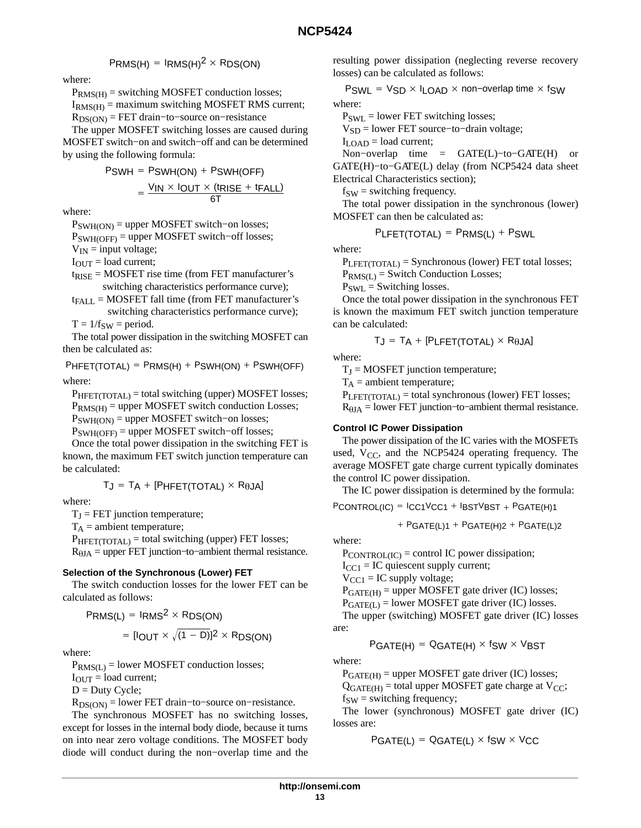# $P$ RMS(H) =  $I$ RMS(H)<sup>2</sup> × RDS(ON)

where:

 $P_{RMS(H)}$  = switching MOSFET conduction losses;

 $I_{RMS(H)} =$  maximum switching MOSFET RMS current;  $R_{DS(ON)} = FET$  drain–to–source on–resistance

The upper MOSFET switching losses are caused during MOSFET switch−on and switch−off and can be determined by using the following formula:

$$
PSWH = PSWH(ON) + PSWH(OFF)
$$

$$
= \frac{V_{IN} \times IOUT \times (tRISE + tFALL)}{6T}
$$

where:

PSWH(ON) = upper MOSFET switch−on losses;

PSWH(OFF) = upper MOSFET switch−off losses;

 $V_{IN}$  = input voltage;

 $I_{\text{OUT}} =$  load current;

 $t_{RISE}$  = MOSFET rise time (from FET manufacturer's switching characteristics performance curve);

$$
t_{FALL} = \text{MOSFET fall time (from FET manufacturer's switching characteristics performance curve);}
$$

 $T = 1/f_{SW} = period.$ The total power dissipation in the switching MOSFET can then be calculated as:

 $PHFET(TOTAL) = PRMS(H) + PSWH(ON) + PSWH(OFF)$ 

where:

PHFET(TOTAL) = total switching (upper) MOSFET losses;

 $P_{RMS(H)} =$  upper MOSFET switch conduction Losses;

P<sub>SWH(ON)</sub> = upper MOSFET switch–on losses;

PSWH(OFF) = upper MOSFET switch−off losses; Once the total power dissipation in the switching FET is known, the maximum FET switch junction temperature can be calculated:

$$
T_J = T_A + [P_{HFET(TOTAL)} \times R_{\theta JA}]
$$

where:

 $T_J$  = FET junction temperature;

 $T_A$  = ambient temperature;

PHFET(TOTAL) = total switching (upper) FET losses;  $R_{HJA}$  = upper FET junction–to–ambient thermal resistance.

#### **Selection of the Synchronous (Lower) FET**

The switch conduction losses for the lower FET can be calculated as follows:

$$
PRMS(L) = IRMS2 \times RDS(ON)
$$

$$
= [IOUT \times \sqrt{(1-D)}]^2 \times RDS(ON)
$$

where:

 $P_{RMS(L)} =$  lower MOSFET conduction losses;

 $I<sub>OUT</sub> = load current;$ 

 $D = Duty$  Cycle;

 $R_{DS(ON)} =$  lower FET drain–to–source on–resistance.

The synchronous MOSFET has no switching losses, except for losses in the internal body diode, because it turns on into near zero voltage conditions. The MOSFET body diode will conduct during the non−overlap time and the resulting power dissipation (neglecting reverse recovery losses) can be calculated as follows:

 $PSWL = VSD \times ILOAD \times non-overlap time \times fSW$ where:

 $P_{SWI}$  = lower FET switching losses;

 $V_{SD}$  = lower FET source–to–drain voltage;

 $I_{LOAD} =$  load current;

Non−overlap time = GATE(L)−to−GATE(H) or GATE(H)−to−GATE(L) delay (from NCP5424 data sheet Electrical Characteristics section);

 $f_{SW}$  = switching frequency.

The total power dissipation in the synchronous (lower) MOSFET can then be calculated as:

$$
P_{LFET(TOTAL)} = P_{RMS(L)} + P_{SWL}
$$

where:

 $P_{LFET(TOTAL)} =$  Synchronous (lower) FET total losses;

 $P_{RMS(L)} =$  Switch Conduction Losses;

 $P_{SWL}$  = Switching losses.

Once the total power dissipation in the synchronous FET is known the maximum FET switch junction temperature can be calculated:

$$
T_J = T_A + [P_{LFET(TOTAL)} \times R_{\theta JA}]
$$

where:

 $T_J = MOSFET$  junction temperature;

 $T_A$  = ambient temperature;

 $P_{LEFT(TOTAL)} = total$  synchronous (lower) FET losses;

 $R_{\text{HJA}}$  = lower FET junction–to–ambient thermal resistance.

#### **Control IC Power Dissipation**

The power dissipation of the IC varies with the MOSFETs used,  $V_{CC}$ , and the NCP5424 operating frequency. The average MOSFET gate charge current typically dominates the control IC power dissipation.

The IC power dissipation is determined by the formula:

 $PCONTROL(IC) = ICC1VCC1 + IBSTVBST + PGATE(H)1$ 

$$
+ PGATE(L)1 + PGATE(H)2 + PGATE(L)2
$$

where:

 $P_{CONTROL(IC)} =$  control IC power dissipation;

 $I_{CC1}$  = IC quiescent supply current;

 $V_{\text{CC1}} = \text{IC supply voltage};$ 

 $P_{GATE(H)}$  = upper MOSFET gate driver (IC) losses;

 $P_{GATE(L)} =$  lower MOSFET gate driver (IC) losses.

The upper (switching) MOSFET gate driver (IC) losses are:

$$
PGATE(H) = QGATE(H) \times fSW \times VBST
$$

where:

 $P_{GATE(H)} =$  upper MOSFET gate driver (IC) losses;

 $Q_{GATE(H)}$  = total upper MOSFET gate charge at  $V_{CC}$ ;  $f_{SW}$  = switching frequency;

The lower (synchronous) MOSFET gate driver (IC) losses are:

$$
PGATE(L) = QGATE(L) \times fSW \times VCC
$$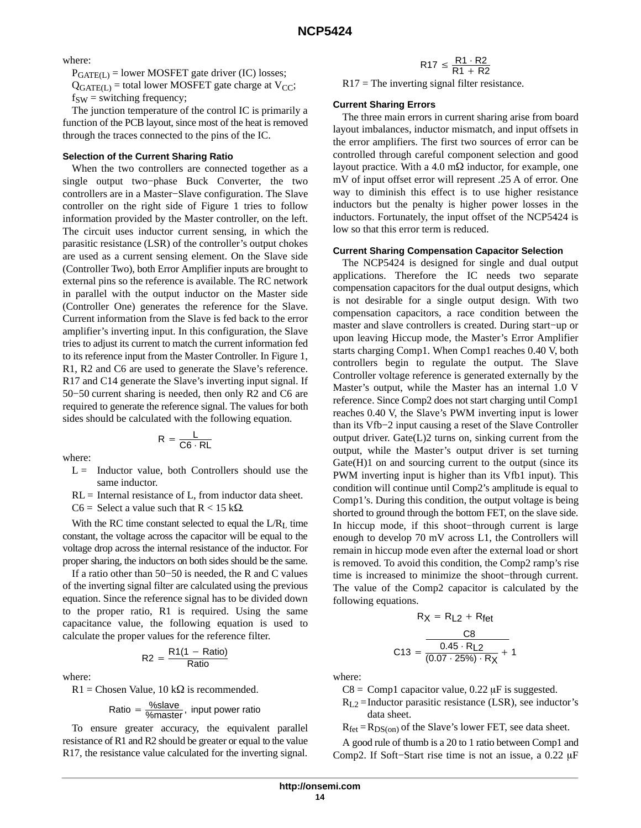where:

 $P_{GATE(L)} =$  lower MOSFET gate driver (IC) losses;

 $Q_{GATE(L)}$  = total lower MOSFET gate charge at  $V_{CC}$ ;  $f_{SW}$  = switching frequency;

The junction temperature of the control IC is primarily a function of the PCB layout, since most of the heat is removed through the traces connected to the pins of the IC.

#### **Selection of the Current Sharing Ratio**

When the two controllers are connected together as a single output two−phase Buck Converter, the two controllers are in a Master−Slave configuration. The Slave controller on the right side of Figure [1](#page-1-0) tries to follow information provided by the Master controller, on the left. The circuit uses inductor current sensing, in which the parasitic resistance (LSR) of the controller's output chokes are used as a current sensing element. On the Slave side (Controller Two), both Error Amplifier inputs are brought to external pins so the reference is available. The RC network in parallel with the output inductor on the Master side (Controller One) generates the reference for the Slave. Current information from the Slave is fed back to the error amplifier's inverting input. In this configuration, the Slave tries to adjust its current to match the current information fed to its reference input from the Master Controller. In Figure [1,](#page-1-0) R1, R2 and C6 are used to generate the Slave's reference. R17 and C14 generate the Slave's inverting input signal. If 50−50 current sharing is needed, then only R2 and C6 are required to generate the reference signal. The values for both sides should be calculated with the following equation.

$$
R = \frac{L}{C6 \cdot RL}
$$

where:

- $L =$  Inductor value, both Controllers should use the same inductor.
- $RL =$  Internal resistance of L, from inductor data sheet.

 $C6 =$  Select a value such that  $R < 15$  k $\Omega$ .

With the RC time constant selected to equal the  $L/R<sub>L</sub>$  time constant, the voltage across the capacitor will be equal to the voltage drop across the internal resistance of the inductor. For proper sharing, the inductors on both sides should be the same.

If a ratio other than 50−50 is needed, the R and C values of the inverting signal filter are calculated using the previous equation. Since the reference signal has to be divided down to the proper ratio, R1 is required. Using the same capacitance value, the following equation is used to calculate the proper values for the reference filter.

$$
R2 = \frac{R1(1 - Ratio)}{Ratio}
$$

where:

 $R1 =$ Chosen Value, 10 k $\Omega$  is recommended.

Ratio = 
$$
\frac{\% \text{ slave}}{\% \text{master}}
$$
, input power ratio

To ensure greater accuracy, the equivalent parallel resistance of R1 and R2 should be greater or equal to the value R17, the resistance value calculated for the inverting signal.

$$
R17 \leq \frac{R1 \cdot R2}{R1 + R2}
$$

 $R17$  = The inverting signal filter resistance.

#### **Current Sharing Errors**

The three main errors in current sharing arise from board layout imbalances, inductor mismatch, and input offsets in the error amplifiers. The first two sources of error can be controlled through careful component selection and good layout practice. With a 4.0 m $\Omega$  inductor, for example, one mV of input offset error will represent .25 A of error. One way to diminish this effect is to use higher resistance inductors but the penalty is higher power losses in the inductors. Fortunately, the input offset of the NCP5424 is low so that this error term is reduced.

#### **Current Sharing Compensation Capacitor Selection**

The NCP5424 is designed for single and dual output applications. Therefore the IC needs two separate compensation capacitors for the dual output designs, which is not desirable for a single output design. With two compensation capacitors, a race condition between the master and slave controllers is created. During start−up or upon leaving Hiccup mode, the Master's Error Amplifier starts charging Comp1. When Comp1 reaches 0.40 V, both controllers begin to regulate the output. The Slave Controller voltage reference is generated externally by the Master's output, while the Master has an internal 1.0 V reference. Since Comp2 does not start charging until Comp1 reaches 0.40 V, the Slave's PWM inverting input is lower than its Vfb−2 input causing a reset of the Slave Controller output driver. Gate(L)2 turns on, sinking current from the output, while the Master's output driver is set turning  $Gate(H)1$  on and sourcing current to the output (since its PWM inverting input is higher than its Vfb1 input). This condition will continue until Comp2's amplitude is equal to Comp1's. During this condition, the output voltage is being shorted to ground through the bottom FET, on the slave side. In hiccup mode, if this shoot−through current is large enough to develop 70 mV across L1, the Controllers will remain in hiccup mode even after the external load or short is removed. To avoid this condition, the Comp2 ramp's rise time is increased to minimize the shoot−through current. The value of the Comp2 capacitor is calculated by the following equations.

$$
RX = R_{L2} + R_{fet}
$$

$$
C13 = \frac{C8}{0.45 \cdot R_{L2}} + 1
$$

$$
C13 = \frac{0.45 \cdot R_{L2}}{(0.07 \cdot 25\%) \cdot R_{X} + 1}
$$

where:

- $C8 = Compl$  capacitor value, 0.22  $\mu$ F is suggested.
- $R_{L2}$  =Inductor parasitic resistance (LSR), see inductor's data sheet.

 $R_{\text{fet}} = R_{DS(on)}$  of the Slave's lower FET, see data sheet.

A good rule of thumb is a 20 to 1 ratio between Comp1 and Comp2. If Soft–Start rise time is not an issue, a 0.22  $\mu$ F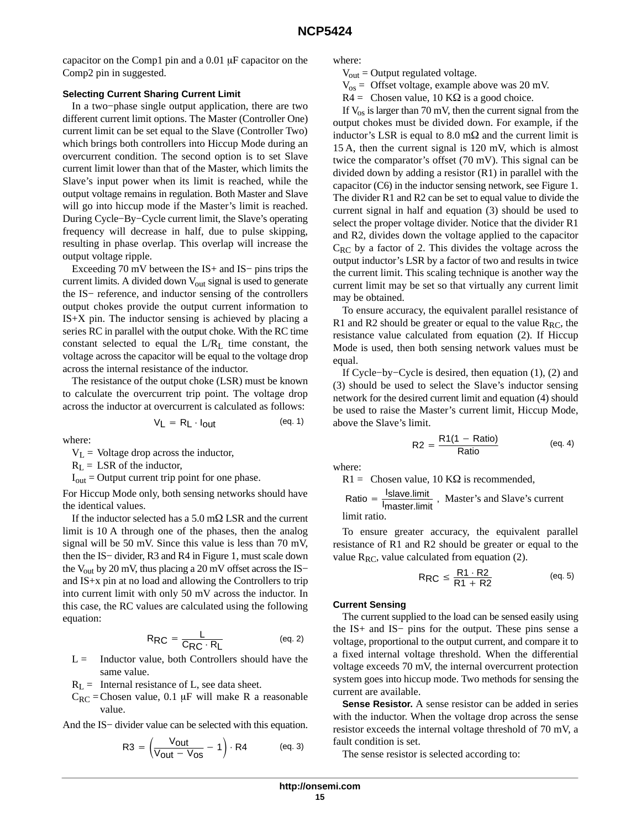capacitor on the Comp1 pin and a  $0.01 \mu$ F capacitor on the Comp2 pin in suggested.

#### **Selecting Current Sharing Current Limit**

In a two−phase single output application, there are two different current limit options. The Master (Controller One) current limit can be set equal to the Slave (Controller Two) which brings both controllers into Hiccup Mode during an overcurrent condition. The second option is to set Slave current limit lower than that of the Master, which limits the Slave's input power when its limit is reached, while the output voltage remains in regulation. Both Master and Slave will go into hiccup mode if the Master's limit is reached. During Cycle−By−Cycle current limit, the Slave's operating frequency will decrease in half, due to pulse skipping, resulting in phase overlap. This overlap will increase the output voltage ripple.

Exceeding 70 mV between the IS+ and IS− pins trips the current limits. A divided down  $V_{\text{out}}$  signal is used to generate the IS− reference, and inductor sensing of the controllers output chokes provide the output current information to IS+X pin. The inductor sensing is achieved by placing a series RC in parallel with the output choke. With the RC time constant selected to equal the L/RL time constant, the voltage across the capacitor will be equal to the voltage drop across the internal resistance of the inductor.

The resistance of the output choke (LSR) must be known to calculate the overcurrent trip point. The voltage drop across the inductor at overcurrent is calculated as follows:

$$
V_L = R_L \cdot I_{out}
$$
 (eq. 1)

where:

 $V_L$  = Voltage drop across the inductor,

 $R_L$  = LSR of the inductor,

 $I_{out}$  = Output current trip point for one phase.

For Hiccup Mode only, both sensing networks should have the identical values.

If the inductor selected has a  $5.0 \text{ m}\Omega$  LSR and the current limit is 10 A through one of the phases, then the analog signal will be 50 mV. Since this value is less than 70 mV, then the IS− divider, R3 and R4 in Figure [1](#page-1-0), must scale down the V<sub>out</sub> by 20 mV, thus placing a 20 mV offset across the IS− and IS+x pin at no load and allowing the Controllers to trip into current limit with only 50 mV across the inductor. In this case, the RC values are calculated using the following equation:

$$
R_{\text{RC}} = \frac{L}{C_{\text{RC}} \cdot R_L}
$$
 (eq. 2)

- $L =$  Inductor value, both Controllers should have the same value.
- $R_L$  = Internal resistance of L, see data sheet.
- $C_{RC}$  = Chosen value, 0.1 µF will make R a reasonable value.

And the IS− divider value can be selected with this equation.

$$
R3 = \left(\frac{V_{\text{out}}}{V_{\text{out}} - V_{\text{OS}}} - 1\right) \cdot R4 \quad (eq. 3)
$$

where:

- $V_{\text{out}}$  = Output regulated voltage.
- $V_{os}$  = Offset voltage, example above was 20 mV.
- $R4 =$  Chosen value, 10 K $\Omega$  is a good choice.

If  $V_{\text{os}}$  is larger than 70 mV, then the current signal from the output chokes must be divided down. For example, if the inductor's LSR is equal to 8.0 m $\Omega$  and the current limit is 15 A, then the current signal is 120 mV, which is almost twice the comparator's offset (70 mV). This signal can be divided down by adding a resistor (R1) in parallel with the capacitor (C6) in the inductor sensing network, see Figure [1](#page-1-0). The divider R1 and R2 can be set to equal value to divide the current signal in half and equation (3) should be used to select the proper voltage divider. Notice that the divider R1 and R2, divides down the voltage applied to the capacitor  $C_{RC}$  by a factor of 2. This divides the voltage across the output inductor's LSR by a factor of two and results in twice the current limit. This scaling technique is another way the current limit may be set so that virtually any current limit may be obtained.

To ensure accuracy, the equivalent parallel resistance of R1 and R2 should be greater or equal to the value  $R_{RC}$ , the resistance value calculated from equation (2). If Hiccup Mode is used, then both sensing network values must be equal.

If Cycle−by−Cycle is desired, then equation (1), (2) and (3) should be used to select the Slave's inductor sensing network for the desired current limit and equation (4) should be used to raise the Master's current limit, Hiccup Mode, above the Slave's limit.

$$
R2 = \frac{R1(1 - Ratio)}{Ratio}
$$
 (eq. 4)

where:

 $R1 =$  Chosen value, 10 K $\Omega$  is recommended,

Ratio =  $\frac{I_{\text{Slave.limit}}}{I_{\text{master.limit}}}$ , Master's and Slave's current limit ratio.

To ensure greater accuracy, the equivalent parallel resistance of R1 and R2 should be greater or equal to the value  $R_{RC}$ , value calculated from equation (2).

$$
R_{\text{RC}} \leq \frac{R1 \cdot R2}{R1 + R2} \qquad \qquad \text{(eq. 5)}
$$

# **Current Sensing**

The current supplied to the load can be sensed easily using the IS+ and IS− pins for the output. These pins sense a voltage, proportional to the output current, and compare it to a fixed internal voltage threshold. When the differential voltage exceeds 70 mV, the internal overcurrent protection system goes into hiccup mode. Two methods for sensing the current are available.

**Sense Resistor.** A sense resistor can be added in series with the inductor. When the voltage drop across the sense resistor exceeds the internal voltage threshold of 70 mV, a fault condition is set.

The sense resistor is selected according to: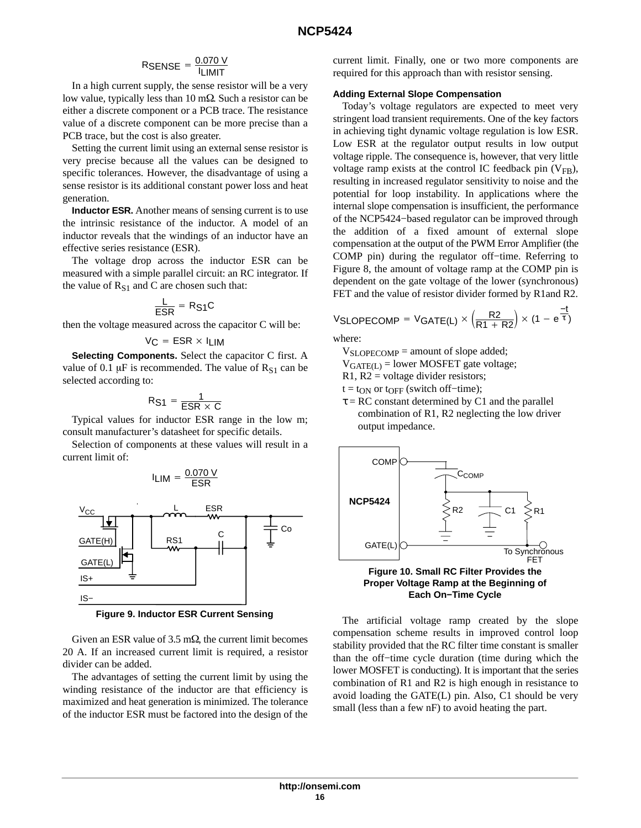# $\mathsf{RSENSE} = \frac{\mathsf{0.070\ V}}{\mathsf{I}\mathsf{L}\mathsf{IMIT}}$

In a high current supply, the sense resistor will be a very low value, typically less than  $10 \text{ m}\Omega$ . Such a resistor can be either a discrete component or a PCB trace. The resistance value of a discrete component can be more precise than a PCB trace, but the cost is also greater.

Setting the current limit using an external sense resistor is very precise because all the values can be designed to specific tolerances. However, the disadvantage of using a sense resistor is its additional constant power loss and heat generation.

**Inductor ESR.** Another means of sensing current is to use the intrinsic resistance of the inductor. A model of an inductor reveals that the windings of an inductor have an effective series resistance (ESR).

The voltage drop across the inductor ESR can be measured with a simple parallel circuit: an RC integrator. If the value of  $R_{S1}$  and C are chosen such that:

$$
\frac{L}{ESR} = R_{S1}C
$$

then the voltage measured across the capacitor C will be:

$$
V_C = ESR \times I_{LIM}
$$

**Selecting Components.** Select the capacitor C first. A value of 0.1  $\mu$ F is recommended. The value of R<sub>S1</sub> can be selected according to:

$$
R_{S1} = \frac{1}{ESR \times C}
$$

Typical values for inductor ESR range in the low m; consult manufacturer's datasheet for specific details.

Selection of components at these values will result in a current limit of:



**Figure 9. Inductor ESR Current Sensing**

Given an ESR value of  $3.5 \text{ mA}$ , the current limit becomes 20 A. If an increased current limit is required, a resistor divider can be added.

The advantages of setting the current limit by using the winding resistance of the inductor are that efficiency is maximized and heat generation is minimized. The tolerance of the inductor ESR must be factored into the design of the

current limit. Finally, one or two more components are required for this approach than with resistor sensing.

#### **Adding External Slope Compensation**

Today's voltage regulators are expected to meet very stringent load transient requirements. One of the key factors in achieving tight dynamic voltage regulation is low ESR. Low ESR at the regulator output results in low output voltage ripple. The consequence is, however, that very little voltage ramp exists at the control IC feedback pin  $(V_{FB})$ , resulting in increased regulator sensitivity to noise and the potential for loop instability. In applications where the internal slope compensation is insufficient, the performance of the NCP5424−based regulator can be improved through the addition of a fixed amount of external slope compensation at the output of the PWM Error Amplifier (the COMP pin) during the regulator off−time. Referring to Figure [8](#page-9-0), the amount of voltage ramp at the COMP pin is dependent on the gate voltage of the lower (synchronous) FET and the value of resistor divider formed by R1and R2.

$$
\text{VSLOPECOMP} = \text{VGATE(L)} \times \left(\frac{R2}{R1 + R2}\right) \times (1 - e^{\frac{-t}{T}})
$$

where:

VSLOPECOMP = amount of slope added;

 $V_{GATE(L)} =$  lower MOSFET gate voltage;

 $R1, R2$  = voltage divider resistors;

 $t = t_{ON}$  or  $t_{OFF}$  (switch off–time);

 $\tau = RC$  constant determined by C1 and the parallel combination of R1, R2 neglecting the low driver output impedance.



**Proper Voltage Ramp at the Beginning of Each On−Time Cycle**

The artificial voltage ramp created by the slope compensation scheme results in improved control loop stability provided that the RC filter time constant is smaller than the off−time cycle duration (time during which the lower MOSFET is conducting). It is important that the series combination of R1 and R2 is high enough in resistance to avoid loading the GATE(L) pin. Also, C1 should be very small (less than a few nF) to avoid heating the part.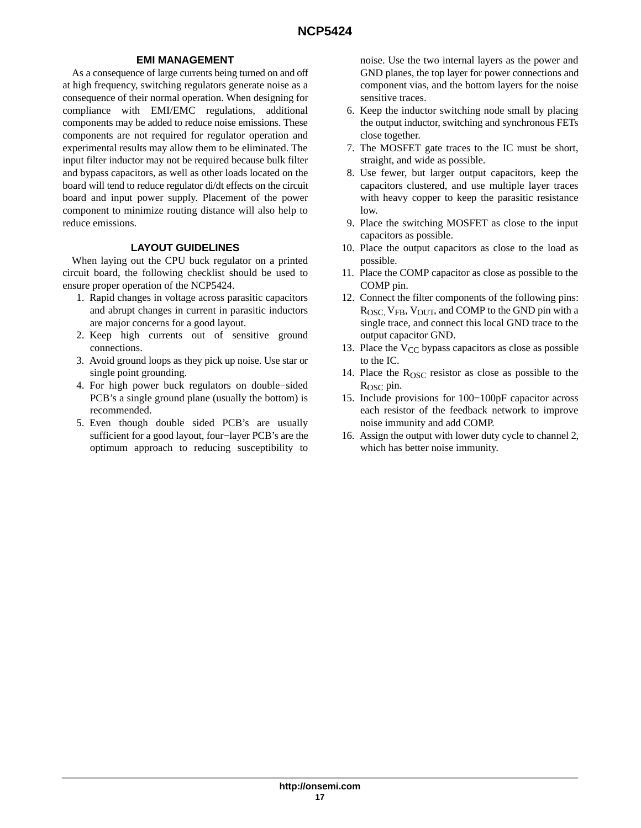# **EMI MANAGEMENT**

As a consequence of large currents being turned on and off at high frequency, switching regulators generate noise as a consequence of their normal operation. When designing for compliance with EMI/EMC regulations, additional components may be added to reduce noise emissions. These components are not required for regulator operation and experimental results may allow them to be eliminated. The input filter inductor may not be required because bulk filter and bypass capacitors, as well as other loads located on the board will tend to reduce regulator di/dt effects on the circuit board and input power supply. Placement of the power component to minimize routing distance will also help to reduce emissions.

#### **LAYOUT GUIDELINES**

When laying out the CPU buck regulator on a printed circuit board, the following checklist should be used to ensure proper operation of the NCP5424.

- 1. Rapid changes in voltage across parasitic capacitors and abrupt changes in current in parasitic inductors are major concerns for a good layout.
- 2. Keep high currents out of sensitive ground connections.
- 3. Avoid ground loops as they pick up noise. Use star or single point grounding.
- 4. For high power buck regulators on double−sided PCB's a single ground plane (usually the bottom) is recommended.
- 5. Even though double sided PCB's are usually sufficient for a good layout, four−layer PCB's are the optimum approach to reducing susceptibility to

noise. Use the two internal layers as the power and GND planes, the top layer for power connections and component vias, and the bottom layers for the noise sensitive traces.

- 6. Keep the inductor switching node small by placing the output inductor, switching and synchronous FETs close together.
- 7. The MOSFET gate traces to the IC must be short, straight, and wide as possible.
- 8. Use fewer, but larger output capacitors, keep the capacitors clustered, and use multiple layer traces with heavy copper to keep the parasitic resistance low.
- 9. Place the switching MOSFET as close to the input capacitors as possible.
- 10. Place the output capacitors as close to the load as possible.
- 11. Place the COMP capacitor as close as possible to the COMP pin.
- 12. Connect the filter components of the following pins: ROSC, VFB, VOUT, and COMP to the GND pin with a single trace, and connect this local GND trace to the output capacitor GND.
- 13. Place the  $V_{CC}$  bypass capacitors as close as possible to the IC.
- 14. Place the  $R<sub>OSC</sub>$  resistor as close as possible to the R<sub>OSC</sub> pin.
- 15. Include provisions for 100−100pF capacitor across each resistor of the feedback network to improve noise immunity and add COMP.
- 16. Assign the output with lower duty cycle to channel 2, which has better noise immunity.